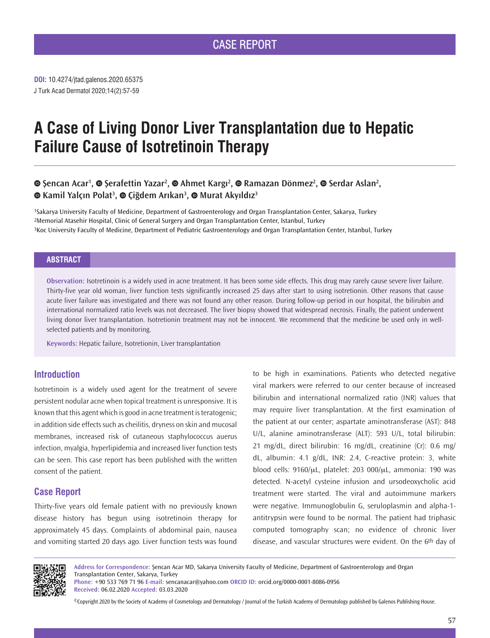J Turk Acad Dermatol 2020;14(2):57-59 **DOI:** 10.4274/jtad.galenos.2020.65375

# **A Case of Living Donor Liver Transplantation due to Hepatic Failure Cause of Isotretinoin Therapy**

## **Şencan Acar<sup>1</sup> ,Şerafettin Yazar<sup>2</sup> ,Ahmet Kargı<sup>2</sup> ,Ramazan Dönmez<sup>2</sup> ,Serdar Aslan2 , Kamil Yalçın Polat<sup>3</sup> ,Çiğdem Arıkan<sup>3</sup> ,Murat Akyıldız<sup>3</sup>**

1Sakarya University Faculty of Medicine, Department of Gastroenterology and Organ Transplantation Center, Sakarya, Turkey 2Memorial Atasehir Hospital, Clinic of General Surgery and Organ Transplantation Center, Istanbul, Turkey 3Koc University Faculty of Medicine, Department of Pediatric Gastroenterology and Organ Transplantation Center, Istanbul, Turkey

## **ABSTRACT**

**Observation:** Isotretinoin is a widely used in acne treatment. It has been some side effects. This drug may rarely cause severe liver failure. Thirty-five year old woman, liver function tests significantly increased 25 days after start to using isotretionin. Other reasons that cause acute liver failure was investigated and there was not found any other reason. During follow-up period in our hospital, the bilirubin and international normalized ratio levels was not decreased. The liver biopsy showed that widespread necrosis. Finally, the patient underwent living donor liver transplantation. Isotretionin treatment may not be innocent. We recommend that the medicine be used only in wellselected patients and by monitoring.

**Keywords:** Hepatic failure, Isotretionin, Liver transplantation

## **Introduction**

Isotretinoin is a widely used agent for the treatment of severe persistent nodular acne when topical treatment is unresponsive. It is known that this agent which is good in acne treatment is teratogenic; in addition side effects such as cheilitis, dryness on skin and mucosal membranes, increased risk of cutaneous staphylococcus auerus infection, myalgia, hyperlipidemia and increased liver function tests can be seen. This case report has been published with the written consent of the patient.

## **Case Report**

Thirty-five years old female patient with no previously known disease history has begun using isotretinoin therapy for approximately 45 days. Complaints of abdominal pain, nausea and vomiting started 20 days ago. Liver function tests was found

to be high in examinations. Patients who detected negative viral markers were referred to our center because of increased bilirubin and international normalized ratio (INR) values that may require liver transplantation. At the first examination of the patient at our center; aspartate aminotransferase (AST): 848 U/L, alanine aminotransferase (ALT): 593 U/L, total bilirubin: 21 mg/dL, direct bilirubin: 16 mg/dL, creatinine (Cr): 0.6 mg/ dL, albumin: 4.1 g/dL, INR: 2.4, C-reactive protein: 3, white blood cells: 9160/μL, platelet: 203 000/μL, ammonia: 190 was detected. N-acetyl cysteine infusion and ursodeoxycholic acid treatment were started. The viral and autoimmune markers were negative. Immunoglobulin G, seruloplasmin and alpha-1 antitrypsin were found to be normal. The patient had triphasic computed tomography scan; no evidence of chronic liver disease, and vascular structures were evident. On the 6th day of



**Address for Correspondence:** Şencan Acar MD, Sakarya University Faculty of Medicine, Department of Gastroenterology and Organ Transplantation Center, Sakarya, Turkey

**Phone:** +90 533 769 71 96 **E-mail:** sencanacar@yahoo.com **ORCID ID:** orcid.org/0000-0001-8086-0956 **Received:** 06.02.2020 **Accepted:** 03.03.2020

©Copyright 2020 by the Society of Academy of Cosmetology and Dermatology / Journal of the Turkish Academy of Dermatology published by Galenos Publishing House.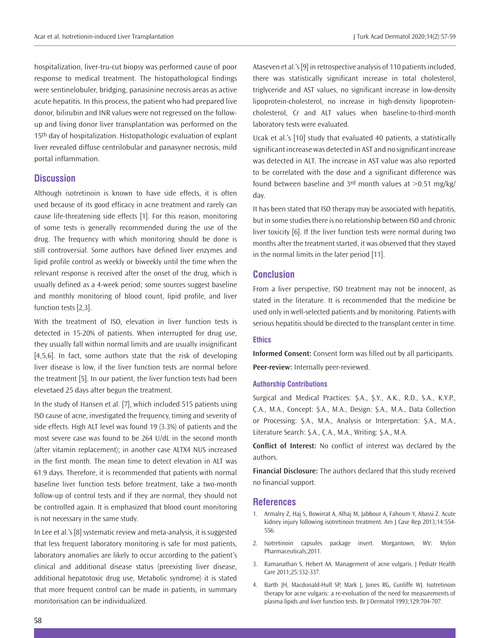hospitalization, liver-tru-cut biopsy was performed cause of poor response to medical treatment. The histopathological findings were sentinelobuler, bridging, panasinine necrosis areas as active acute hepatitis. In this process, the patient who had prepared live donor, bilirubin and INR values were not regressed on the followup and living donor liver transplantation was performed on the 15<sup>th</sup> day of hospitalization. Histopathologic evaluation of explant liver revealed diffuse centrilobular and panasyner necrosis, mild portal inflammation.

## **Discussion**

Although isotretinoin is known to have side effects, it is often used because of its good efficacy in acne treatment and rarely can cause life-threatening side effects [1]. For this reason, monitoring of some tests is generally recommended during the use of the drug. The frequency with which monitoring should be done is still controversial. Some authors have defined liver enzymes and lipid profile control as weekly or biweekly until the time when the relevant response is received after the onset of the drug, which is usually defined as a 4-week period; some sources suggest baseline and monthly monitoring of blood count, lipid profile, and liver function tests [2,3].

With the treatment of ISO, elevation in liver function tests is detected in 15-20% of patients. When interrupted for drug use, they usually fall within normal limits and are usually insignificant [4,5,6]. In fact, some authors state that the risk of developing liver disease is low, if the liver function tests are normal before the treatment [5]. In our patient, the liver function tests had been elevetaed 25 days after begun the treatment.

In the study of Hansen et al. [7], which included 515 patients using ISO cause of acne, investigated the frequency, timing and severity of side effects. High ALT level was found 19 (3.3%) of patients and the most severe case was found to be 264 U/dL in the second month (after vitamin replacement); in another case ALTX4 NUS increased in the first month. The mean time to detect elevation in ALT was 61.9 days. Therefore, it is recommended that patients with normal baseline liver function tests before treatment, take a two-month follow-up of control tests and if they are normal, they should not be controlled again. It is emphasized that blood count monitoring is not necessary in the same study.

In Lee et al.'s [8] systematic review and meta-analysis, it is suggested that less frequent laboratory monitoring is safe for most patients, laboratory anomalies are likely to occur according to the patient's clinical and additional disease status (preexisting liver disease, additional hepatotoxic drug use, Metabolic syndrome) it is stated that more frequent control can be made in patients, in summary monitorisation can be individualized.

Ataseven et al.'s [9] in retrospective analysis of 110 patients included, there was statistically significant increase in total cholesterol, triglyceride and AST values, no significant increase in low-density lipoprotein-cholesterol, no increase in high-density lipoproteincholesterol, Cr and ALT values when baseline-to-third-month laboratory tests were evaluated.

Ucak et al.'s [10] study that evaluated 40 patients, a statistically significant increase was detected in AST and no significant increase was detected in ALT. The increase in AST value was also reported to be correlated with the dose and a significant difference was found between baseline and  $3<sup>rd</sup>$  month values at  $>0.51$  mg/kg/ day.

It has been stated that ISO therapy may be associated with hepatitis, but in some studies there is no relationship between ISO and chronic liver toxicity [6]. If the liver function tests were normal during two months after the treatment started, it was observed that they stayed in the normal limits in the later period [11].

## **Conclusion**

From a liver perspective, ISO treatment may not be innocent, as stated in the literature. It is recommended that the medicine be used only in well-selected patients and by monitoring. Patients with serious hepatitis should be directed to the transplant center in time.

### **Ethics**

**Informed Consent:** Consent form was filled out by all participants. **Peer-review:** Internally peer-reviewed.

## **Authorship Contributions**

Surgical and Medical Practices: Ş.A., Ş.Y., A.K., R.D., S.A., K.Y.P., Ç.A., M.A., Concept: Ş.A., M.A., Design: Ş.A., M.A., Data Collection or Processing: Ş.A., M.A., Analysis or Interpretation: Ş.A., M.A., Literature Search: Ş.A., Ç.A., M.A., Writing: Ş.A., M.A.

**Conflict of Interest:** No conflict of interest was declared by the authors.

**Financial Disclosure:** The authors declared that this study received no financial support.

### **References**

- 1. Armalry Z, Haj S, Bowirrat A, Alhaj M, Jabbour A, Fahoum Y, Abassi Z. Acute kidney injury following isotretinoin treatment. Am J Case Rep 2013;14:554- 556.
- 2. Isotretinoin capsules package insert. Morgantown, WV: Mylon Pharmaceuticals;2011.
- 3. Ramanathan S, Hebert AA. Management of acne vulgaris. J Pediatr Health Care 2011;25:332-337.
- 4. Barth JH, Macdonald-Hull SP, Mark J, Jones RG, Cunliffe WJ. Isotretinoin therapy for acne vulgaris: a re-evoluation of the need for measurements of plasma lipids and liver function tests. Br J Dermatol 1993;129:704-707.